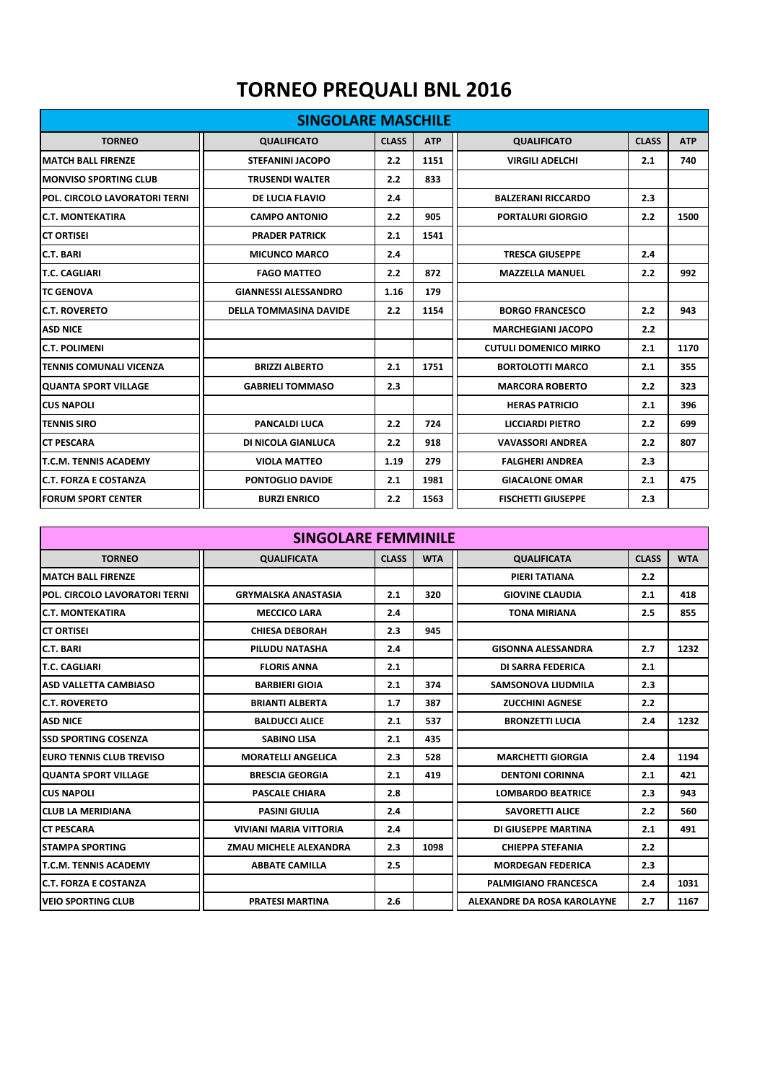## **TORNEO PREQUALI BNL 2016**

| <b>SINGOLARE MASCHILE</b>      |                               |              |            |                              |              |            |  |
|--------------------------------|-------------------------------|--------------|------------|------------------------------|--------------|------------|--|
| <b>TORNEO</b>                  | <b>QUALIFICATO</b>            | <b>CLASS</b> | <b>ATP</b> | <b>QUALIFICATO</b>           | <b>CLASS</b> | <b>ATP</b> |  |
| <b>MATCH BALL FIRENZE</b>      | <b>STEFANINI JACOPO</b>       | 2.2          | 1151       | <b>VIRGILI ADELCHI</b>       | 2.1          | 740        |  |
| <b>IMONVISO SPORTING CLUB</b>  | <b>TRUSENDI WALTER</b>        | 2.2          | 833        |                              |              |            |  |
| POL. CIRCOLO LAVORATORI TERNI  | <b>DE LUCIA FLAVIO</b>        | 2.4          |            | <b>BALZERANI RICCARDO</b>    | 2.3          |            |  |
| <b>IC.T. MONTEKATIRA</b>       | <b>CAMPO ANTONIO</b>          | 2.2          | 905        | <b>PORTALURI GIORGIO</b>     | 2.2          | 1500       |  |
| ICT ORTISEI                    | <b>PRADER PATRICK</b>         | 2.1          | 1541       |                              |              |            |  |
| <b>C.T. BARI</b>               | <b>MICUNCO MARCO</b>          | 2.4          |            | <b>TRESCA GIUSEPPE</b>       | 2.4          |            |  |
| <b>T.C. CAGLIARI</b>           | <b>FAGO MATTEO</b>            | 2.2          | 872        | <b>MAZZELLA MANUEL</b>       | 2.2          | 992        |  |
| <b>TC GENOVA</b>               | <b>GIANNESSI ALESSANDRO</b>   | 1.16         | 179        |                              |              |            |  |
| <b>C.T. ROVERETO</b>           | <b>DELLA TOMMASINA DAVIDE</b> | 2.2          | 1154       | <b>BORGO FRANCESCO</b>       | 2.2          | 943        |  |
| <b>ASD NICE</b>                |                               |              |            | <b>MARCHEGIANI JACOPO</b>    | 2.2          |            |  |
| <b>C.T. POLIMENI</b>           |                               |              |            | <b>CUTULI DOMENICO MIRKO</b> | 2.1          | 1170       |  |
| <b>TENNIS COMUNALI VICENZA</b> | <b>BRIZZI ALBERTO</b>         | 2.1          | 1751       | <b>BORTOLOTTI MARCO</b>      | 2.1          | 355        |  |
| <b>IQUANTA SPORT VILLAGE</b>   | <b>GABRIELI TOMMASO</b>       | 2.3          |            | <b>MARCORA ROBERTO</b>       | 2.2          | 323        |  |
| <b>CUS NAPOLI</b>              |                               |              |            | <b>HERAS PATRICIO</b>        | 2.1          | 396        |  |
| <b>TENNIS SIRO</b>             | <b>PANCALDI LUCA</b>          | 2.2          | 724        | <b>LICCIARDI PIETRO</b>      | 2.2          | 699        |  |
| <b>CT PESCARA</b>              | DI NICOLA GIANLUCA            | 2.2          | 918        | <b>VAVASSORI ANDREA</b>      | 2.2          | 807        |  |
| <b>T.C.M. TENNIS ACADEMY</b>   | <b>VIOLA MATTEO</b>           | 1.19         | 279        | <b>FALGHERI ANDREA</b>       | 2.3          |            |  |
| <b>IC.T. FORZA E COSTANZA</b>  | PONTOGLIO DAVIDE              | 2.1          | 1981       | <b>GIACALONE OMAR</b>        | 2.1          | 475        |  |
| <b>FORUM SPORT CENTER</b>      | <b>BURZI ENRICO</b>           | 2.2          | 1563       | <b>FISCHETTI GIUSEPPE</b>    | 2.3          |            |  |

| <b>SINGOLARE FEMMINILE</b>       |                               |              |            |                             |              |            |  |  |
|----------------------------------|-------------------------------|--------------|------------|-----------------------------|--------------|------------|--|--|
| <b>TORNEO</b>                    | <b>QUALIFICATA</b>            | <b>CLASS</b> | <b>WTA</b> | <b>QUALIFICATA</b>          | <b>CLASS</b> | <b>WTA</b> |  |  |
| <b>IMATCH BALL FIRENZE</b>       |                               |              |            | PIERI TATIANA               | 2.2          |            |  |  |
| POL. CIRCOLO LAVORATORI TERNI    | <b>GRYMALSKA ANASTASIA</b>    | 2.1          | 320        | <b>GIOVINE CLAUDIA</b>      | 2.1          | 418        |  |  |
| IC.T. MONTEKATIRA                | <b>MECCICO LARA</b>           | 2.4          |            | <b>TONA MIRIANA</b>         | 2.5          | 855        |  |  |
| ICT ORTISEI                      | <b>CHIESA DEBORAH</b>         | 2.3          | 945        |                             |              |            |  |  |
| <b>C.T. BARI</b>                 | PILUDU NATASHA                | 2.4          |            | <b>GISONNA ALESSANDRA</b>   | 2.7          | 1232       |  |  |
| <b>T.C. CAGLIARI</b>             | <b>FLORIS ANNA</b>            | 2.1          |            | DI SARRA FEDERICA           | 2.1          |            |  |  |
| <b>ASD VALLETTA CAMBIASO</b>     | <b>BARBIERI GIOIA</b>         | 2.1          | 374        | <b>SAMSONOVA LIUDMILA</b>   | 2.3          |            |  |  |
| IC.T. ROVERETO                   | <b>BRIANTI ALBERTA</b>        | 1.7          | 387        | <b>ZUCCHINI AGNESE</b>      | 2.2          |            |  |  |
| <b>ASD NICE</b>                  | <b>BALDUCCI ALICE</b>         | 2.1          | 537        | <b>BRONZETTI LUCIA</b>      | 2.4          | 1232       |  |  |
| <b>ISSD SPORTING COSENZA</b>     | <b>SABINO LISA</b>            | 2.1          | 435        |                             |              |            |  |  |
| <b>IEURO TENNIS CLUB TREVISO</b> | <b>MORATELLI ANGELICA</b>     | 2.3          | 528        | <b>MARCHETTI GIORGIA</b>    | 2.4          | 1194       |  |  |
| <b>QUANTA SPORT VILLAGE</b>      | <b>BRESCIA GEORGIA</b>        | 2.1          | 419        | <b>DENTONI CORINNA</b>      | 2.1          | 421        |  |  |
| <b>CUS NAPOLI</b>                | <b>PASCALE CHIARA</b>         | 2.8          |            | <b>LOMBARDO BEATRICE</b>    | 2.3          | 943        |  |  |
| <b>ICLUB LA MERIDIANA</b>        | <b>PASINI GIULIA</b>          | 2.4          |            | <b>SAVORETTI ALICE</b>      | 2.2          | 560        |  |  |
| <b>CT PESCARA</b>                | <b>VIVIANI MARIA VITTORIA</b> | 2.4          |            | DI GIUSEPPE MARTINA         | 2.1          | 491        |  |  |
| ISTAMPA SPORTING                 | ZMAU MICHELE ALEXANDRA        | 2.3          | 1098       | <b>CHIEPPA STEFANIA</b>     | 2.2          |            |  |  |
| <b>T.C.M. TENNIS ACADEMY</b>     | <b>ABBATE CAMILLA</b>         | 2.5          |            | <b>MORDEGAN FEDERICA</b>    | 2.3          |            |  |  |
| <b>IC.T. FORZA E COSTANZA</b>    |                               |              |            | <b>PALMIGIANO FRANCESCA</b> | 2.4          | 1031       |  |  |
| <b>IVEIO SPORTING CLUB</b>       | <b>PRATESI MARTINA</b>        | 2.6          |            | ALEXANDRE DA ROSA KAROLAYNE | 2.7          | 1167       |  |  |